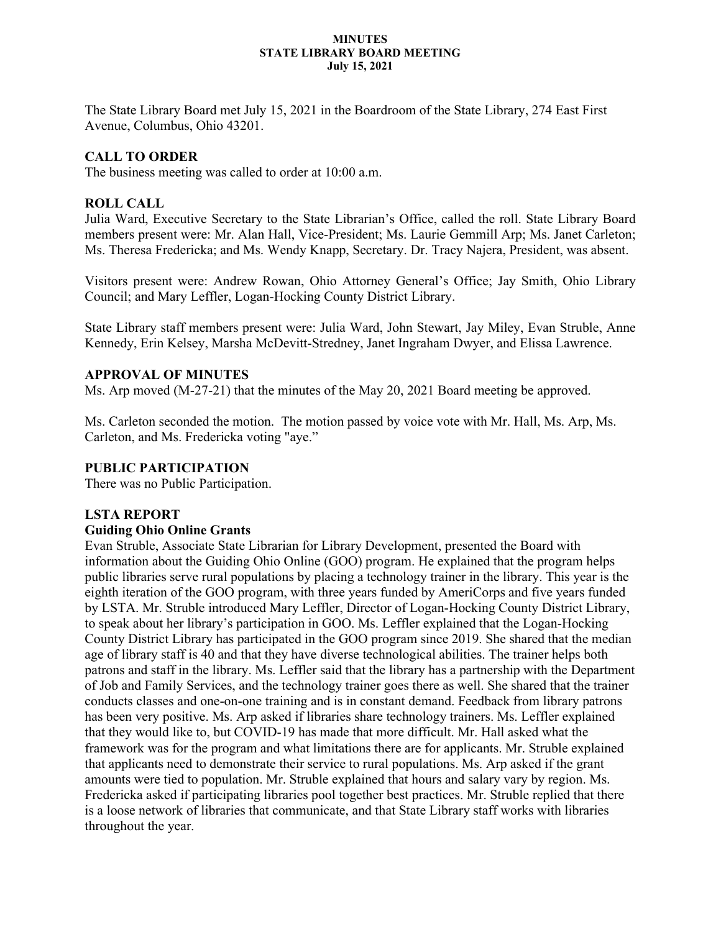#### **MINUTES STATE LIBRARY BOARD MEETING July 15, 2021**

The State Library Board met July 15, 2021 in the Boardroom of the State Library, 274 East First Avenue, Columbus, Ohio 43201.

# **CALL TO ORDER**

The business meeting was called to order at 10:00 a.m.

# **ROLL CALL**

Julia Ward, Executive Secretary to the State Librarian's Office, called the roll. State Library Board members present were: Mr. Alan Hall, Vice-President; Ms. Laurie Gemmill Arp; Ms. Janet Carleton; Ms. Theresa Fredericka; and Ms. Wendy Knapp, Secretary. Dr. Tracy Najera, President, was absent.

Visitors present were: Andrew Rowan, Ohio Attorney General's Office; Jay Smith, Ohio Library Council; and Mary Leffler, Logan-Hocking County District Library.

State Library staff members present were: Julia Ward, John Stewart, Jay Miley, Evan Struble, Anne Kennedy, Erin Kelsey, Marsha McDevitt-Stredney, Janet Ingraham Dwyer, and Elissa Lawrence.

## **APPROVAL OF MINUTES**

Ms. Arp moved (M-27-21) that the minutes of the May 20, 2021 Board meeting be approved.

Ms. Carleton seconded the motion. The motion passed by voice vote with Mr. Hall, Ms. Arp, Ms. Carleton, and Ms. Fredericka voting "aye."

## **PUBLIC PARTICIPATION**

There was no Public Participation.

## **LSTA REPORT**

#### **Guiding Ohio Online Grants**

Evan Struble, Associate State Librarian for Library Development, presented the Board with information about the Guiding Ohio Online (GOO) program. He explained that the program helps public libraries serve rural populations by placing a technology trainer in the library. This year is the eighth iteration of the GOO program, with three years funded by AmeriCorps and five years funded by LSTA. Mr. Struble introduced Mary Leffler, Director of Logan-Hocking County District Library, to speak about her library's participation in GOO. Ms. Leffler explained that the Logan-Hocking County District Library has participated in the GOO program since 2019. She shared that the median age of library staff is 40 and that they have diverse technological abilities. The trainer helps both patrons and staff in the library. Ms. Leffler said that the library has a partnership with the Department of Job and Family Services, and the technology trainer goes there as well. She shared that the trainer conducts classes and one-on-one training and is in constant demand. Feedback from library patrons has been very positive. Ms. Arp asked if libraries share technology trainers. Ms. Leffler explained that they would like to, but COVID-19 has made that more difficult. Mr. Hall asked what the framework was for the program and what limitations there are for applicants. Mr. Struble explained that applicants need to demonstrate their service to rural populations. Ms. Arp asked if the grant amounts were tied to population. Mr. Struble explained that hours and salary vary by region. Ms. Fredericka asked if participating libraries pool together best practices. Mr. Struble replied that there is a loose network of libraries that communicate, and that State Library staff works with libraries throughout the year.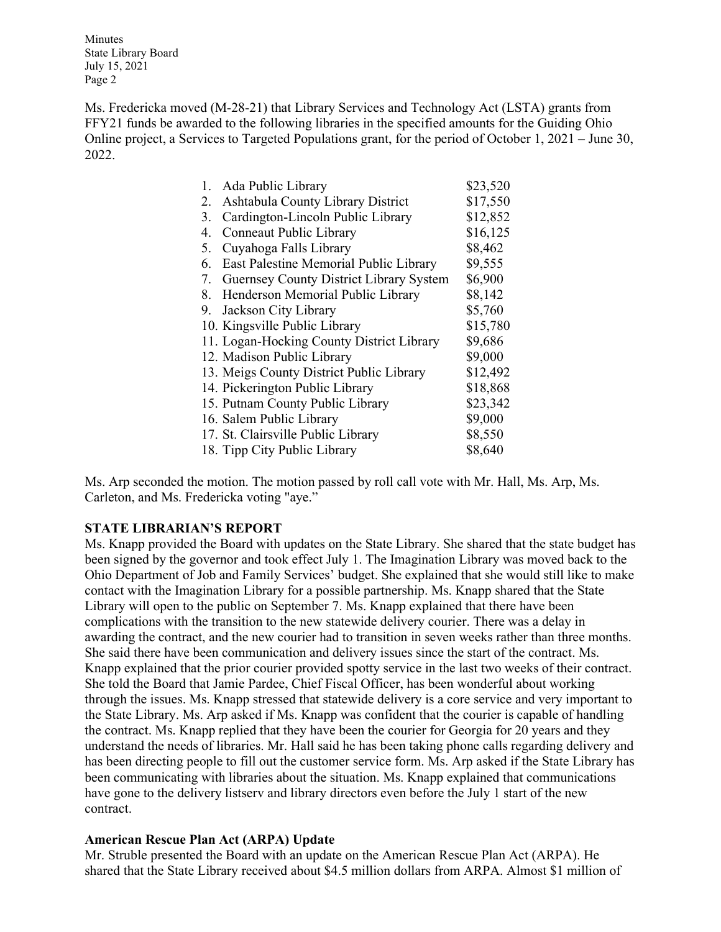Minutes State Library Board July 15, 2021 Page 2

Ms. Fredericka moved (M-28-21) that Library Services and Technology Act (LSTA) grants from FFY21 funds be awarded to the following libraries in the specified amounts for the Guiding Ohio Online project, a Services to Targeted Populations grant, for the period of October 1, 2021 – June 30, 2022.

|    | 1. Ada Public Library                          | \$23,520 |
|----|------------------------------------------------|----------|
| 2. | Ashtabula County Library District              | \$17,550 |
| 3. | Cardington-Lincoln Public Library              | \$12,852 |
| 4. | Conneaut Public Library                        | \$16,125 |
| 5. | Cuyahoga Falls Library                         | \$8,462  |
| 6. | East Palestine Memorial Public Library         | \$9,555  |
| 7. | <b>Guernsey County District Library System</b> | \$6,900  |
| 8. | Henderson Memorial Public Library              | \$8,142  |
| 9. | Jackson City Library                           | \$5,760  |
|    | 10. Kingsville Public Library                  | \$15,780 |
|    | 11. Logan-Hocking County District Library      | \$9,686  |
|    | 12. Madison Public Library                     | \$9,000  |
|    | 13. Meigs County District Public Library       | \$12,492 |
|    | 14. Pickerington Public Library                | \$18,868 |
|    | 15. Putnam County Public Library               | \$23,342 |
|    | 16. Salem Public Library                       | \$9,000  |
|    | 17. St. Clairsville Public Library             | \$8,550  |
|    | 18. Tipp City Public Library                   | \$8,640  |

Ms. Arp seconded the motion. The motion passed by roll call vote with Mr. Hall, Ms. Arp, Ms. Carleton, and Ms. Fredericka voting "aye."

## **STATE LIBRARIAN'S REPORT**

Ms. Knapp provided the Board with updates on the State Library. She shared that the state budget has been signed by the governor and took effect July 1. The Imagination Library was moved back to the Ohio Department of Job and Family Services' budget. She explained that she would still like to make contact with the Imagination Library for a possible partnership. Ms. Knapp shared that the State Library will open to the public on September 7. Ms. Knapp explained that there have been complications with the transition to the new statewide delivery courier. There was a delay in awarding the contract, and the new courier had to transition in seven weeks rather than three months. She said there have been communication and delivery issues since the start of the contract. Ms. Knapp explained that the prior courier provided spotty service in the last two weeks of their contract. She told the Board that Jamie Pardee, Chief Fiscal Officer, has been wonderful about working through the issues. Ms. Knapp stressed that statewide delivery is a core service and very important to the State Library. Ms. Arp asked if Ms. Knapp was confident that the courier is capable of handling the contract. Ms. Knapp replied that they have been the courier for Georgia for 20 years and they understand the needs of libraries. Mr. Hall said he has been taking phone calls regarding delivery and has been directing people to fill out the customer service form. Ms. Arp asked if the State Library has been communicating with libraries about the situation. Ms. Knapp explained that communications have gone to the delivery listserv and library directors even before the July 1 start of the new contract.

#### **American Rescue Plan Act (ARPA) Update**

Mr. Struble presented the Board with an update on the American Rescue Plan Act (ARPA). He shared that the State Library received about \$4.5 million dollars from ARPA. Almost \$1 million of